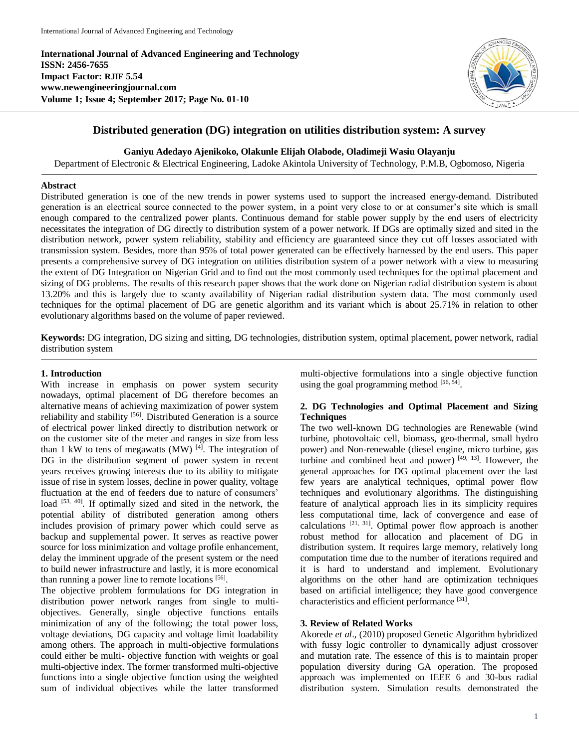**International Journal of Advanced Engineering and Technology ISSN: 2456-7655 Impact Factor: RJIF 5.54 www.newengineeringjournal.com Volume 1; Issue 4; September 2017; Page No. 01-10**



# **Distributed generation (DG) integration on utilities distribution system: A survey**

**Ganiyu Adedayo Ajenikoko, Olakunle Elijah Olabode, Oladimeji Wasiu Olayanju**

Department of Electronic & Electrical Engineering, Ladoke Akintola University of Technology, P.M.B, Ogbomoso, Nigeria

## **Abstract**

Distributed generation is one of the new trends in power systems used to support the increased energy-demand. Distributed generation is an electrical source connected to the power system, in a point very close to or at consumer's site which is small enough compared to the centralized power plants. Continuous demand for stable power supply by the end users of electricity necessitates the integration of DG directly to distribution system of a power network. If DGs are optimally sized and sited in the distribution network, power system reliability, stability and efficiency are guaranteed since they cut off losses associated with transmission system. Besides, more than 95% of total power generated can be effectively harnessed by the end users. This paper presents a comprehensive survey of DG integration on utilities distribution system of a power network with a view to measuring the extent of DG Integration on Nigerian Grid and to find out the most commonly used techniques for the optimal placement and sizing of DG problems. The results of this research paper shows that the work done on Nigerian radial distribution system is about 13.20% and this is largely due to scanty availability of Nigerian radial distribution system data. The most commonly used techniques for the optimal placement of DG are genetic algorithm and its variant which is about 25.71% in relation to other evolutionary algorithms based on the volume of paper reviewed.

**Keywords:** DG integration, DG sizing and sitting, DG technologies, distribution system, optimal placement, power network, radial distribution system

# **1. Introduction**

With increase in emphasis on power system security nowadays, optimal placement of DG therefore becomes an alternative means of achieving maximization of power system reliability and stability [56]. Distributed Generation is a source of electrical power linked directly to distribution network or on the customer site of the meter and ranges in size from less than 1 kW to tens of megawatts (MW) [4]. The integration of DG in the distribution segment of power system in recent years receives growing interests due to its ability to mitigate issue of rise in system losses, decline in power quality, voltage fluctuation at the end of feeders due to nature of consumers' load [53, 40]. If optimally sized and sited in the network, the potential ability of distributed generation among others includes provision of primary power which could serve as backup and supplemental power. It serves as reactive power source for loss minimization and voltage profile enhancement, delay the imminent upgrade of the present system or the need to build newer infrastructure and lastly, it is more economical than running a power line to remote locations [56].

The objective problem formulations for DG integration in distribution power network ranges from single to multiobjectives. Generally, single objective functions entails minimization of any of the following; the total power loss, voltage deviations, DG capacity and voltage limit loadability among others. The approach in multi-objective formulations could either be multi- objective function with weights or goal multi-objective index. The former transformed multi-objective functions into a single objective function using the weighted sum of individual objectives while the latter transformed

multi-objective formulations into a single objective function using the goal programming method  $[56, 54]$ .

# **2. DG Technologies and Optimal Placement and Sizing Techniques**

The two well-known DG technologies are Renewable (wind turbine, photovoltaic cell, biomass, geo-thermal, small hydro power) and Non-renewable (diesel engine, micro turbine, gas turbine and combined heat and power)  $[49, 13]$ . However, the general approaches for DG optimal placement over the last few years are analytical techniques, optimal power flow techniques and evolutionary algorithms. The distinguishing feature of analytical approach lies in its simplicity requires less computational time, lack of convergence and ease of calculations  $[21, 31]$ . Optimal power flow approach is another robust method for allocation and placement of DG in distribution system. It requires large memory, relatively long computation time due to the number of iterations required and it is hard to understand and implement. Evolutionary algorithms on the other hand are optimization techniques based on artificial intelligence; they have good convergence characteristics and efficient performance [31].

## **3. Review of Related Works**

Akorede *et al*., (2010) proposed Genetic Algorithm hybridized with fussy logic controller to dynamically adjust crossover and mutation rate. The essence of this is to maintain proper population diversity during GA operation. The proposed approach was implemented on IEEE 6 and 30-bus radial distribution system. Simulation results demonstrated the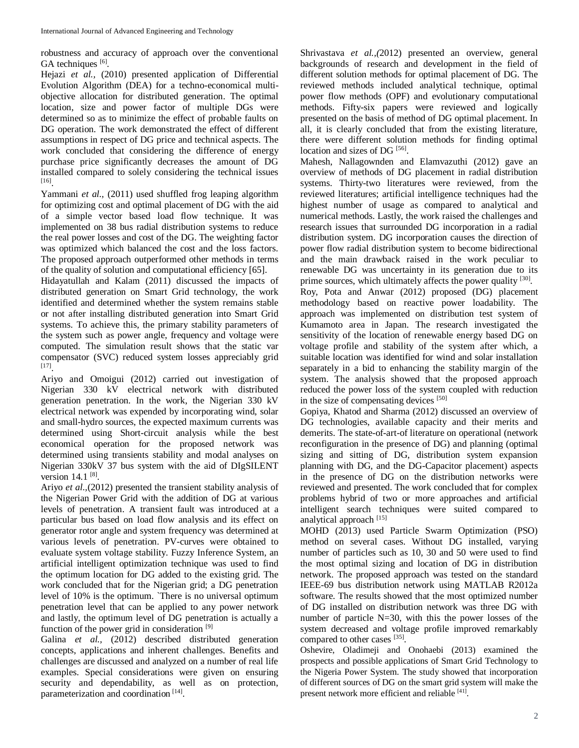robustness and accuracy of approach over the conventional GA techniques [6].

Hejazi *et al.,* (2010) presented application of Differential Evolution Algorithm (DEA) for a techno-economical multiobjective allocation for distributed generation. The optimal location, size and power factor of multiple DGs were determined so as to minimize the effect of probable faults on DG operation. The work demonstrated the effect of different assumptions in respect of DG price and technical aspects. The work concluded that considering the difference of energy purchase price significantly decreases the amount of DG installed compared to solely considering the technical issues [16] .

Yammani *et al.*, (2011) used shuffled frog leaping algorithm for optimizing cost and optimal placement of DG with the aid of a simple vector based load flow technique. It was implemented on 38 bus radial distribution systems to reduce the real power losses and cost of the DG. The weighting factor was optimized which balanced the cost and the loss factors. The proposed approach outperformed other methods in terms of the quality of solution and computational efficiency [65].

Hidayatullah and Kalam (2011) discussed the impacts of distributed generation on Smart Grid technology, the work identified and determined whether the system remains stable or not after installing distributed generation into Smart Grid systems. To achieve this, the primary stability parameters of the system such as power angle, frequency and voltage were computed. The simulation result shows that the static var compensator (SVC) reduced system losses appreciably grid [17] .

Ariyo and Omoigui (2012) carried out investigation of Nigerian 330 kV electrical network with distributed generation penetration. In the work, the Nigerian 330 kV electrical network was expended by incorporating wind, solar and small-hydro sources, the expected maximum currents was determined using Short-circuit analysis while the best economical operation for the proposed network was determined using transients stability and modal analyses on Nigerian 330kV 37 bus system with the aid of DIgSILENT version  $14.1^{[8]}$ .

Ariyo *et al.,*(2012) presented the transient stability analysis of the Nigerian Power Grid with the addition of DG at various levels of penetration. A transient fault was introduced at a particular bus based on load flow analysis and its effect on generator rotor angle and system frequency was determined at various levels of penetration. PV-curves were obtained to evaluate system voltage stability. Fuzzy Inference System, an artificial intelligent optimization technique was used to find the optimum location for DG added to the existing grid. The work concluded that for the Nigerian grid; a DG penetration level of 10% is the optimum. `There is no universal optimum penetration level that can be applied to any power network and lastly, the optimum level of DG penetration is actually a function of the power grid in consideration [9]

Galina *et al.,* (2012) described distributed generation concepts, applications and inherent challenges. Benefits and challenges are discussed and analyzed on a number of real life examples. Special considerations were given on ensuring security and dependability, as well as on protection, parameterization and coordination<sup>[14]</sup>.

Shrivastava *et al.,(*2012) presented an overview, general backgrounds of research and development in the field of different solution methods for optimal placement of DG. The reviewed methods included analytical technique, optimal power flow methods (OPF) and evolutionary computational methods. Fifty-six papers were reviewed and logically presented on the basis of method of DG optimal placement. In all, it is clearly concluded that from the existing literature, there were different solution methods for finding optimal location and sizes of DG<sup>[56]</sup>.

Mahesh, Nallagownden and Elamvazuthi (2012) gave an overview of methods of DG placement in radial distribution systems. Thirty-two literatures were reviewed, from the reviewed literatures; artificial intelligence techniques had the highest number of usage as compared to analytical and numerical methods. Lastly, the work raised the challenges and research issues that surrounded DG incorporation in a radial distribution system. DG incorporation causes the direction of power flow radial distribution system to become bidirectional and the main drawback raised in the work peculiar to renewable DG was uncertainty in its generation due to its prime sources, which ultimately affects the power quality [30].

Roy, Pota and Anwar (2012) proposed (DG) placement methodology based on reactive power loadability. The approach was implemented on distribution test system of Kumamoto area in Japan. The research investigated the sensitivity of the location of renewable energy based DG on voltage profile and stability of the system after which, a suitable location was identified for wind and solar installation separately in a bid to enhancing the stability margin of the system. The analysis showed that the proposed approach reduced the power loss of the system coupled with reduction in the size of compensating devices [50]

Gopiya, Khatod and Sharma (2012) discussed an overview of DG technologies, available capacity and their merits and demerits. The state-of-art-of literature on operational (network reconfiguration in the presence of DG) and planning (optimal sizing and sitting of DG, distribution system expansion planning with DG, and the DG-Capacitor placement) aspects in the presence of DG on the distribution networks were reviewed and presented. The work concluded that for complex problems hybrid of two or more approaches and artificial intelligent search techniques were suited compared to analytical approach [15]

MOHD (2013) used Particle Swarm Optimization (PSO) method on several cases. Without DG installed, varying number of particles such as 10, 30 and 50 were used to find the most optimal sizing and location of DG in distribution network. The proposed approach was tested on the standard IEEE-69 bus distribution network using MATLAB R2012a software. The results showed that the most optimized number of DG installed on distribution network was three DG with number of particle N=30, with this the power losses of the system decreased and voltage profile improved remarkably compared to other cases [35].

Oshevire, Oladimeji and Onohaebi (2013) examined the prospects and possible applications of Smart Grid Technology to the Nigeria Power System. The study showed that incorporation of different sources of DG on the smart grid system will make the present network more efficient and reliable [41].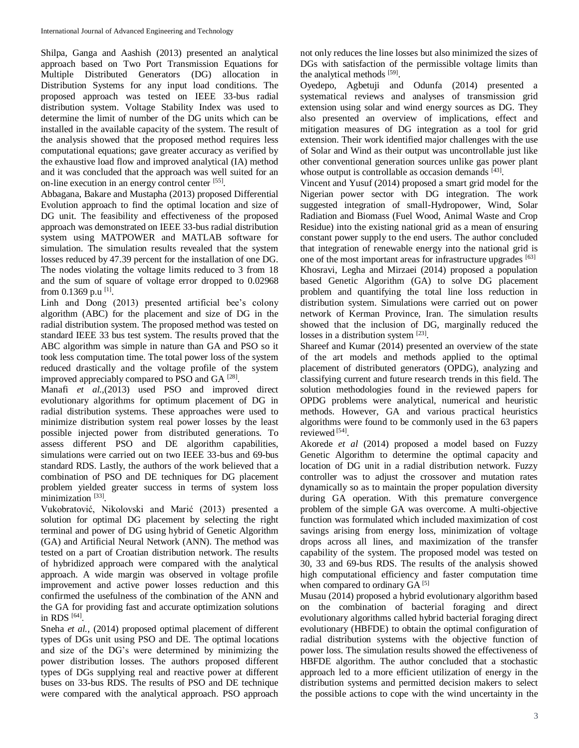Shilpa, Ganga and Aashish (2013) presented an analytical approach based on Two Port Transmission Equations for Multiple Distributed Generators (DG) allocation in Distribution Systems for any input load conditions. The proposed approach was tested on IEEE 33-bus radial distribution system. Voltage Stability Index was used to determine the limit of number of the DG units which can be installed in the available capacity of the system. The result of the analysis showed that the proposed method requires less computational equations; gave greater accuracy as verified by the exhaustive load flow and improved analytical (IA) method and it was concluded that the approach was well suited for an on-line execution in an energy control center [55].

Abbagana, Bakare and Mustapha (2013) proposed Differential Evolution approach to find the optimal location and size of DG unit. The feasibility and effectiveness of the proposed approach was demonstrated on IEEE 33-bus radial distribution system using MATPOWER and MATLAB software for simulation. The simulation results revealed that the system losses reduced by 47.39 percent for the installation of one DG. The nodes violating the voltage limits reduced to 3 from 18 and the sum of square of voltage error dropped to 0.02968 from 0.1369 p.u<sup>[1]</sup>.

Linh and Dong (2013) presented artificial bee's colony algorithm (ABC) for the placement and size of DG in the radial distribution system. The proposed method was tested on standard IEEE 33 bus test system. The results proved that the ABC algorithm was simple in nature than GA and PSO so it took less computation time. The total power loss of the system reduced drastically and the voltage profile of the system improved appreciably compared to PSO and GA  $^{[28]}$ .

Manafi *et al.,*(2013) used PSO and improved direct evolutionary algorithms for optimum placement of DG in radial distribution systems. These approaches were used to minimize distribution system real power losses by the least possible injected power from distributed generations. To assess different PSO and DE algorithm capabilities, simulations were carried out on two IEEE 33-bus and 69-bus standard RDS. Lastly, the authors of the work believed that a combination of PSO and DE techniques for DG placement problem yielded greater success in terms of system loss minimization<sup>[33]</sup>.

Vukobratović, Nikolovski and Marić (2013) presented a solution for optimal DG placement by selecting the right terminal and power of DG using hybrid of Genetic Algorithm (GA) and Artificial Neural Network (ANN). The method was tested on a part of Croatian distribution network. The results of hybridized approach were compared with the analytical approach. A wide margin was observed in voltage profile improvement and active power losses reduction and this confirmed the usefulness of the combination of the ANN and the GA for providing fast and accurate optimization solutions in RDS [64].

Sneha *et al.,* (2014) proposed optimal placement of different types of DGs unit using PSO and DE. The optimal locations and size of the DG's were determined by minimizing the power distribution losses. The authors proposed different types of DGs supplying real and reactive power at different buses on 33-bus RDS. The results of PSO and DE technique were compared with the analytical approach. PSO approach

not only reduces the line losses but also minimized the sizes of DGs with satisfaction of the permissible voltage limits than the analytical methods [59].

Oyedepo, Agbetuji and Odunfa (2014) presented a systematical reviews and analyses of transmission grid extension using solar and wind energy sources as DG. They also presented an overview of implications, effect and mitigation measures of DG integration as a tool for grid extension. Their work identified major challenges with the use of Solar and Wind as their output was uncontrollable just like other conventional generation sources unlike gas power plant whose output is controllable as occasion demands [43].

Vincent and Yusuf (2014) proposed a smart grid model for the Nigerian power sector with DG integration. The work suggested integration of small-Hydropower, Wind, Solar Radiation and Biomass (Fuel Wood, Animal Waste and Crop Residue) into the existing national grid as a mean of ensuring constant power supply to the end users. The author concluded that integration of renewable energy into the national grid is one of the most important areas for infrastructure upgrades [63] Khosravi, Legha and Mirzaei (2014) proposed a population based Genetic Algorithm (GA) to solve DG placement problem and quantifying the total line loss reduction in distribution system. Simulations were carried out on power network of Kerman Province, Iran. The simulation results showed that the inclusion of DG, marginally reduced the losses in a distribution system [23].

Shareef and Kumar (2014) presented an overview of the state of the art models and methods applied to the optimal placement of distributed generators (OPDG), analyzing and classifying current and future research trends in this field. The solution methodologies found in the reviewed papers for OPDG problems were analytical, numerical and heuristic methods. However, GA and various practical heuristics algorithms were found to be commonly used in the 63 papers reviewed<sup>[54]</sup>.

Akorede *et al* (2014) proposed a model based on Fuzzy Genetic Algorithm to determine the optimal capacity and location of DG unit in a radial distribution network. Fuzzy controller was to adjust the crossover and mutation rates dynamically so as to maintain the proper population diversity during GA operation. With this premature convergence problem of the simple GA was overcome. A multi-objective function was formulated which included maximization of cost savings arising from energy loss, minimization of voltage drops across all lines, and maximization of the transfer capability of the system. The proposed model was tested on 30, 33 and 69-bus RDS. The results of the analysis showed high computational efficiency and faster computation time when compared to ordinary GA<sup>[5]</sup>

Musau (2014) proposed a hybrid evolutionary algorithm based on the combination of bacterial foraging and direct evolutionary algorithms called hybrid bacterial foraging direct evolutionary (HBFDE) to obtain the optimal configuration of radial distribution systems with the objective function of power loss. The simulation results showed the effectiveness of HBFDE algorithm. The author concluded that a stochastic approach led to a more efficient utilization of energy in the distribution systems and permitted decision makers to select the possible actions to cope with the wind uncertainty in the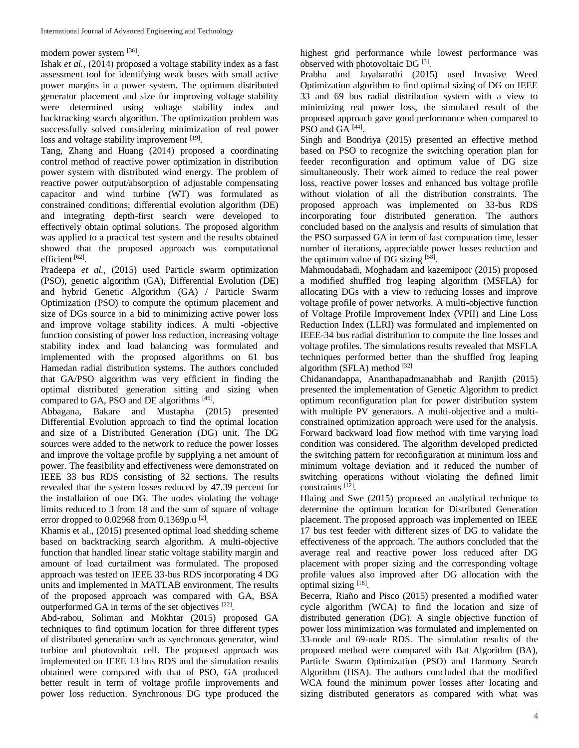### modern power system [36].

Ishak *et al.,* (2014) proposed a voltage stability index as a fast assessment tool for identifying weak buses with small active power margins in a power system. The optimum distributed generator placement and size for improving voltage stability were determined using voltage stability index and backtracking search algorithm. The optimization problem was successfully solved considering minimization of real power loss and voltage stability improvement [19].

Tang, Zhang and Huang (2014) proposed a coordinating control method of reactive power optimization in distribution power system with distributed wind energy. The problem of reactive power output/absorption of adjustable compensating capacitor and wind turbine (WT) was formulated as constrained conditions; differential evolution algorithm (DE) and integrating depth-first search were developed to effectively obtain optimal solutions. The proposed algorithm was applied to a practical test system and the results obtained showed that the proposed approach was computational efficient<sup>[62]</sup>.

Pradeepa *et al.,* (2015) used Particle swarm optimization (PSO), genetic algorithm (GA), Differential Evolution (DE) and hybrid Genetic Algorithm (GA) / Particle Swarm Optimization (PSO) to compute the optimum placement and size of DGs source in a bid to minimizing active power loss and improve voltage stability indices. A multi -objective function consisting of power loss reduction, increasing voltage stability index and load balancing was formulated and implemented with the proposed algorithms on 61 bus Hamedan radial distribution systems. The authors concluded that GA/PSO algorithm was very efficient in finding the optimal distributed generation sitting and sizing when compared to GA, PSO and DE algorithms [45].

Abbagana, Bakare and Mustapha (2015) presented Differential Evolution approach to find the optimal location and size of a Distributed Generation (DG) unit. The DG sources were added to the network to reduce the power losses and improve the voltage profile by supplying a net amount of power. The feasibility and effectiveness were demonstrated on IEEE 33 bus RDS consisting of 32 sections. The results revealed that the system losses reduced by 47.39 percent for the installation of one DG. The nodes violating the voltage limits reduced to 3 from 18 and the sum of square of voltage error dropped to 0.02968 from 0.1369p.u<sup>[2]</sup>.

Khamis et al., (2015) presented optimal load shedding scheme based on backtracking search algorithm. A multi-objective function that handled linear static voltage stability margin and amount of load curtailment was formulated. The proposed approach was tested on IEEE 33-bus RDS incorporating 4 DG units and implemented in MATLAB environment. The results of the proposed approach was compared with GA, BSA outperformed GA in terms of the set objectives [22].

Abd-rabou, Soliman and Mokhtar (2015) proposed GA techniques to find optimum location for three different types of distributed generation such as synchronous generator, wind turbine and photovoltaic cell. The proposed approach was implemented on IEEE 13 bus RDS and the simulation results obtained were compared with that of PSO, GA produced better result in term of voltage profile improvements and power loss reduction. Synchronous DG type produced the highest grid performance while lowest performance was observed with photovoltaic DG<sup>[3]</sup>.

Prabha and Jayabarathi (2015) used Invasive Weed Optimization algorithm to find optimal sizing of DG on IEEE 33 and 69 bus radial distribution system with a view to minimizing real power loss, the simulated result of the proposed approach gave good performance when compared to PSO and GA  $^{[44]}$ .

Singh and Bondriya (2015) presented an effective method based on PSO to recognize the switching operation plan for feeder reconfiguration and optimum value of DG size simultaneously. Their work aimed to reduce the real power loss, reactive power losses and enhanced bus voltage profile without violation of all the distribution constraints. The proposed approach was implemented on 33-bus RDS incorporating four distributed generation. The authors concluded based on the analysis and results of simulation that the PSO surpassed GA in term of fast computation time, lesser number of iterations, appreciable power losses reduction and the optimum value of DG sizing [58].

Mahmoudabadi, Moghadam and kazemipoor (2015) proposed a modified shuffled frog leaping algorithm (MSFLA) for allocating DGs with a view to reducing losses and improve voltage profile of power networks. A multi-objective function of Voltage Profile Improvement Index (VPII) and Line Loss Reduction Index (LLRI) was formulated and implemented on IEEE-34 bus radial distribution to compute the line losses and voltage profiles. The simulations results revealed that MSFLA techniques performed better than the shuffled frog leaping algorithm (SFLA) method  $[32]$ 

Chidanandappa, Ananthapadmanabhab and Ranjith (2015) presented the implementation of Genetic Algorithm to predict optimum reconfiguration plan for power distribution system with multiple PV generators. A multi-objective and a multiconstrained optimization approach were used for the analysis. Forward backward load flow method with time varying load condition was considered. The algorithm developed predicted the switching pattern for reconfiguration at minimum loss and minimum voltage deviation and it reduced the number of switching operations without violating the defined limit constraints<sup>[12]</sup>.

Hlaing and Swe (2015) proposed an analytical technique to determine the optimum location for Distributed Generation placement. The proposed approach was implemented on IEEE 17 bus test feeder with different sizes of DG to validate the effectiveness of the approach. The authors concluded that the average real and reactive power loss reduced after DG placement with proper sizing and the corresponding voltage profile values also improved after DG allocation with the optimal sizing [18].

Becerra, Riaño and Pisco (2015) presented a modified water cycle algorithm (WCA) to find the location and size of distributed generation (DG). A single objective function of power loss minimization was formulated and implemented on 33-node and 69-node RDS. The simulation results of the proposed method were compared with Bat Algorithm (BA), Particle Swarm Optimization (PSO) and Harmony Search Algorithm (HSA). The authors concluded that the modified WCA found the minimum power losses after locating and sizing distributed generators as compared with what was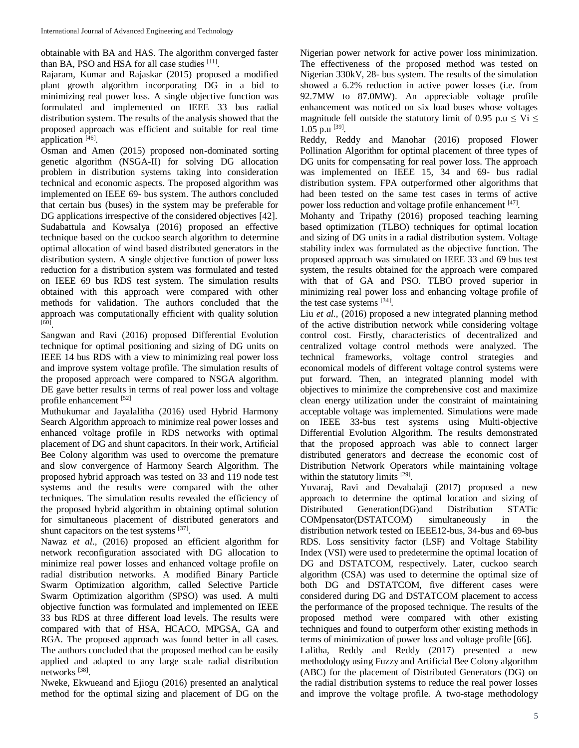obtainable with BA and HAS. The algorithm converged faster than BA, PSO and HSA for all case studies [11].

Rajaram, Kumar and Rajaskar (2015) proposed a modified plant growth algorithm incorporating DG in a bid to minimizing real power loss. A single objective function was formulated and implemented on IEEE 33 bus radial distribution system. The results of the analysis showed that the proposed approach was efficient and suitable for real time application [46].

Osman and Amen (2015) proposed non-dominated sorting genetic algorithm (NSGA-II) for solving DG allocation problem in distribution systems taking into consideration technical and economic aspects. The proposed algorithm was implemented on IEEE 69- bus system. The authors concluded that certain bus (buses) in the system may be preferable for DG applications irrespective of the considered objectives [42]. Sudabattula and Kowsalya (2016) proposed an effective technique based on the cuckoo search algorithm to determine optimal allocation of wind based distributed generators in the distribution system. A single objective function of power loss reduction for a distribution system was formulated and tested on IEEE 69 bus RDS test system. The simulation results obtained with this approach were compared with other methods for validation. The authors concluded that the approach was computationally efficient with quality solution [60] .

Sangwan and Ravi (2016) proposed Differential Evolution technique for optimal positioning and sizing of DG units on IEEE 14 bus RDS with a view to minimizing real power loss and improve system voltage profile. The simulation results of the proposed approach were compared to NSGA algorithm. DE gave better results in terms of real power loss and voltage profile enhancement [52]

Muthukumar and Jayalalitha (2016) used Hybrid Harmony Search Algorithm approach to minimize real power losses and enhanced voltage profile in RDS networks with optimal placement of DG and shunt capacitors. In their work, Artificial Bee Colony algorithm was used to overcome the premature and slow convergence of Harmony Search Algorithm. The proposed hybrid approach was tested on 33 and 119 node test systems and the results were compared with the other techniques. The simulation results revealed the efficiency of the proposed hybrid algorithm in obtaining optimal solution for simultaneous placement of distributed generators and shunt capacitors on the test systems [37].

Nawaz *et al.,* (2016) proposed an efficient algorithm for network reconfiguration associated with DG allocation to minimize real power losses and enhanced voltage profile on radial distribution networks. A modified Binary Particle Swarm Optimization algorithm, called Selective Particle Swarm Optimization algorithm (SPSO) was used. A multi objective function was formulated and implemented on IEEE 33 bus RDS at three different load levels. The results were compared with that of HSA, HCACO, MPGSA, GA and RGA. The proposed approach was found better in all cases. The authors concluded that the proposed method can be easily applied and adapted to any large scale radial distribution networks [38] .

Nweke, Ekwueand and Ejiogu (2016) presented an analytical method for the optimal sizing and placement of DG on the Nigerian power network for active power loss minimization. The effectiveness of the proposed method was tested on Nigerian 330kV, 28- bus system. The results of the simulation showed a 6.2% reduction in active power losses (i.e. from 92.7MW to 87.0MW). An appreciable voltage profile enhancement was noticed on six load buses whose voltages magnitude fell outside the statutory limit of 0.95 p.u  $\leq$  Vi  $\leq$ 1.05 p.u [39].

Reddy, Reddy and Manohar (2016) proposed Flower Pollination Algorithm for optimal placement of three types of DG units for compensating for real power loss. The approach was implemented on IEEE 15, 34 and 69- bus radial distribution system. FPA outperformed other algorithms that had been tested on the same test cases in terms of active power loss reduction and voltage profile enhancement [47].

Mohanty and Tripathy (2016) proposed teaching learning based optimization (TLBO) techniques for optimal location and sizing of DG units in a radial distribution system. Voltage stability index was formulated as the objective function. The proposed approach was simulated on IEEE 33 and 69 bus test system, the results obtained for the approach were compared with that of GA and PSO. TLBO proved superior in minimizing real power loss and enhancing voltage profile of the test case systems [34].

Liu *et al.*, (2016) proposed a new integrated planning method of the active distribution network while considering voltage control cost. Firstly, characteristics of decentralized and centralized voltage control methods were analyzed. The technical frameworks, voltage control strategies and economical models of different voltage control systems were put forward. Then, an integrated planning model with objectives to minimize the comprehensive cost and maximize clean energy utilization under the constraint of maintaining acceptable voltage was implemented. Simulations were made on IEEE 33-bus test systems using Multi-objective Differential Evolution Algorithm. The results demonstrated that the proposed approach was able to connect larger distributed generators and decrease the economic cost of Distribution Network Operators while maintaining voltage within the statutory limits [29].

Yuvaraj, Ravi and Devabalaji (2017) proposed a new approach to determine the optimal location and sizing of Distributed Generation(DG)and Distribution STATic COMpensator(DSTATCOM) simultaneously in the distribution network tested on IEEE12-bus, 34-bus and 69-bus RDS. Loss sensitivity factor (LSF) and Voltage Stability Index (VSI) were used to predetermine the optimal location of DG and DSTATCOM, respectively. Later, cuckoo search algorithm (CSA) was used to determine the optimal size of both DG and DSTATCOM, five different cases were considered during DG and DSTATCOM placement to access the performance of the proposed technique. The results of the proposed method were compared with other existing techniques and found to outperform other existing methods in terms of minimization of power loss and voltage profile [66]. Lalitha, Reddy and Reddy (2017) presented a new methodology using Fuzzy and Artificial Bee Colony algorithm (ABC) for the placement of Distributed Generators (DG) on

the radial distribution systems to reduce the real power losses and improve the voltage profile. A two-stage methodology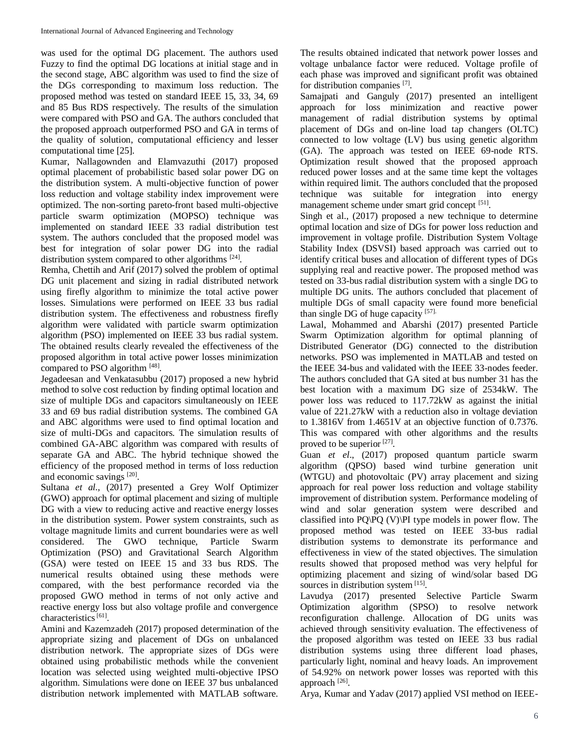was used for the optimal DG placement. The authors used Fuzzy to find the optimal DG locations at initial stage and in the second stage, ABC algorithm was used to find the size of the DGs corresponding to maximum loss reduction. The proposed method was tested on standard IEEE 15, 33, 34, 69 and 85 Bus RDS respectively. The results of the simulation were compared with PSO and GA. The authors concluded that the proposed approach outperformed PSO and GA in terms of the quality of solution, computational efficiency and lesser computational time [25].

Kumar, Nallagownden and Elamvazuthi (2017) proposed optimal placement of probabilistic based solar power DG on the distribution system. A multi-objective function of power loss reduction and voltage stability index improvement were optimized. The non-sorting pareto-front based multi-objective particle swarm optimization (MOPSO) technique was implemented on standard IEEE 33 radial distribution test system. The authors concluded that the proposed model was best for integration of solar power DG into the radial distribution system compared to other algorithms [24].

Remha, Chettih and Arif (2017) solved the problem of optimal DG unit placement and sizing in radial distributed network using firefly algorithm to minimize the total active power losses. Simulations were performed on IEEE 33 bus radial distribution system. The effectiveness and robustness firefly algorithm were validated with particle swarm optimization algorithm (PSO) implemented on IEEE 33 bus radial system. The obtained results clearly revealed the effectiveness of the proposed algorithm in total active power losses minimization compared to PSO algorithm [48].

Jegadeesan and Venkatasubbu (2017) proposed a new hybrid method to solve cost reduction by finding optimal location and size of multiple DGs and capacitors simultaneously on IEEE 33 and 69 bus radial distribution systems. The combined GA and ABC algorithms were used to find optimal location and size of multi-DGs and capacitors. The simulation results of combined GA-ABC algorithm was compared with results of separate GA and ABC. The hybrid technique showed the efficiency of the proposed method in terms of loss reduction and economic savings [20].

Sultana *et al.,* (2017) presented a Grey Wolf Optimizer (GWO) approach for optimal placement and sizing of multiple DG with a view to reducing active and reactive energy losses in the distribution system. Power system constraints, such as voltage magnitude limits and current boundaries were as well considered. The GWO technique, Particle Swarm Optimization (PSO) and Gravitational Search Algorithm (GSA) were tested on IEEE 15 and 33 bus RDS. The numerical results obtained using these methods were compared, with the best performance recorded via the proposed GWO method in terms of not only active and reactive energy loss but also voltage profile and convergence characteristics<sup>[61]</sup>.

Amini and Kazemzadeh (2017) proposed determination of the appropriate sizing and placement of DGs on unbalanced distribution network. The appropriate sizes of DGs were obtained using probabilistic methods while the convenient location was selected using weighted multi-objective IPSO algorithm. Simulations were done on IEEE 37 bus unbalanced distribution network implemented with MATLAB software.

The results obtained indicated that network power losses and voltage unbalance factor were reduced. Voltage profile of each phase was improved and significant profit was obtained for distribution companies [7].

Samajpati and Ganguly (2017) presented an intelligent approach for loss minimization and reactive power management of radial distribution systems by optimal placement of DGs and on-line load tap changers (OLTC) connected to low voltage (LV) bus using genetic algorithm (GA). The approach was tested on IEEE 69-node RTS. Optimization result showed that the proposed approach reduced power losses and at the same time kept the voltages within required limit. The authors concluded that the proposed technique was suitable for integration into energy management scheme under smart grid concept [51].

Singh et al., (2017) proposed a new technique to determine optimal location and size of DGs for power loss reduction and improvement in voltage profile. Distribution System Voltage Stability Index (DSVSI) based approach was carried out to identify critical buses and allocation of different types of DGs supplying real and reactive power. The proposed method was tested on 33-bus radial distribution system with a single DG to multiple DG units. The authors concluded that placement of multiple DGs of small capacity were found more beneficial than single DG of huge capacity [57].

Lawal, Mohammed and Abarshi (2017) presented Particle Swarm Optimization algorithm for optimal planning of Distributed Generator (DG) connected to the distribution networks. PSO was implemented in MATLAB and tested on the IEEE 34-bus and validated with the IEEE 33-nodes feeder. The authors concluded that GA sited at bus number 31 has the best location with a maximum DG size of 2534kW. The power loss was reduced to 117.72kW as against the initial value of 221.27kW with a reduction also in voltage deviation to 1.3816V from 1.4651V at an objective function of 0.7376. This was compared with other algorithms and the results proved to be superior [27].

Guan *et el*., (2017) proposed quantum particle swarm algorithm (QPSO) based wind turbine generation unit (WTGU) and photovoltaic (PV) array placement and sizing approach for real power loss reduction and voltage stability improvement of distribution system. Performance modeling of wind and solar generation system were described and classified into PQ\PQ  $(V)\$ PI type models in power flow. The proposed method was tested on IEEE 33-bus radial distribution systems to demonstrate its performance and effectiveness in view of the stated objectives. The simulation results showed that proposed method was very helpful for optimizing placement and sizing of wind/solar based DG sources in distribution system [15].

Lavudya (2017) presented Selective Particle Swarm Optimization algorithm (SPSO) to resolve network reconfiguration challenge. Allocation of DG units was achieved through sensitivity evaluation. The effectiveness of the proposed algorithm was tested on IEEE 33 bus radial distribution systems using three different load phases, particularly light, nominal and heavy loads. An improvement of 54.92% on network power losses was reported with this approach [26].

Arya, Kumar and Yadav (2017) applied VSI method on IEEE-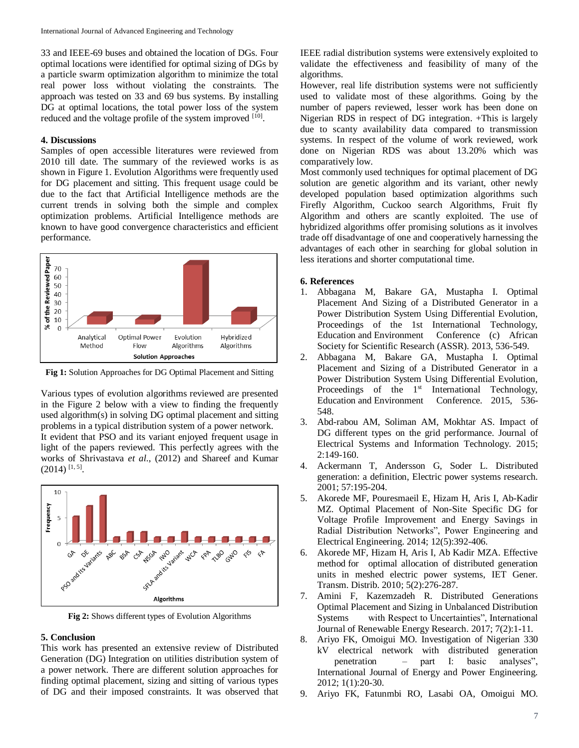33 and IEEE-69 buses and obtained the location of DGs. Four optimal locations were identified for optimal sizing of DGs by a particle swarm optimization algorithm to minimize the total real power loss without violating the constraints. The approach was tested on 33 and 69 bus systems. By installing DG at optimal locations, the total power loss of the system reduced and the voltage profile of the system improved [10].

# **4. Discussions**

Samples of open accessible literatures were reviewed from 2010 till date. The summary of the reviewed works is as shown in Figure 1. Evolution Algorithms were frequently used for DG placement and sitting. This frequent usage could be due to the fact that Artificial Intelligence methods are the current trends in solving both the simple and complex optimization problems. Artificial Intelligence methods are known to have good convergence characteristics and efficient performance.



**Fig 1:** Solution Approaches for DG Optimal Placement and Sitting

Various types of evolution algorithms reviewed are presented in the Figure 2 below with a view to finding the frequently used algorithm(s) in solving DG optimal placement and sitting problems in a typical distribution system of a power network. It evident that PSO and its variant enjoyed frequent usage in light of the papers reviewed. This perfectly agrees with the works of Shrivastava *et al*., (2012) and Shareef and Kumar  $(2014)$  [1, 5].



**Fig 2:** Shows different types of Evolution Algorithms

#### **5. Conclusion**

This work has presented an extensive review of Distributed Generation (DG) Integration on utilities distribution system of a power network. There are different solution approaches for finding optimal placement, sizing and sitting of various types of DG and their imposed constraints. It was observed that IEEE radial distribution systems were extensively exploited to validate the effectiveness and feasibility of many of the algorithms.

However, real life distribution systems were not sufficiently used to validate most of these algorithms. Going by the number of papers reviewed, lesser work has been done on Nigerian RDS in respect of DG integration. +This is largely due to scanty availability data compared to transmission systems. In respect of the volume of work reviewed, work done on Nigerian RDS was about 13.20% which was comparatively low.

Most commonly used techniques for optimal placement of DG solution are genetic algorithm and its variant, other newly developed population based optimization algorithms such Firefly Algorithm, Cuckoo search Algorithms, Fruit fly Algorithm and others are scantly exploited. The use of hybridized algorithms offer promising solutions as it involves trade off disadvantage of one and cooperatively harnessing the advantages of each other in searching for global solution in less iterations and shorter computational time.

#### **6. References**

- 1. Abbagana M, Bakare GA, Mustapha I. Optimal Placement And Sizing of a Distributed Generator in a Power Distribution System Using Differential Evolution, Proceedings of the 1st International Technology, Education and Environment Conference (c) African Society for Scientific Research (ASSR). 2013, 536-549.
- 2. Abbagana M, Bakare GA, Mustapha I. Optimal Placement and Sizing of a Distributed Generator in a Power Distribution System Using Differential Evolution, Proceedings of the 1<sup>st</sup> International Technology, Education and Environment Conference. 2015, 536- 548.
- 3. Abd-rabou AM, Soliman AM, Mokhtar AS. Impact of DG different types on the grid performance. Journal of Electrical Systems and Information Technology. 2015; 2:149-160.
- 4. Ackermann T, Andersson G, Soder L. Distributed generation: a definition, Electric power systems research. 2001; 57:195-204.
- 5. Akorede MF, Pouresmaeil E, Hizam H, Aris I, Ab-Kadir MZ. Optimal Placement of Non-Site Specific DG for Voltage Profile Improvement and Energy Savings in Radial Distribution Networks", Power Engineering and Electrical Engineering. 2014; 12(5):392-406.
- 6. Akorede MF, Hizam H, Aris I, Ab Kadir MZA. Effective method for optimal allocation of distributed generation units in meshed electric power systems, IET Gener. Transm. Distrib. 2010; 5(2):276-287.
- 7. Amini F, Kazemzadeh R. Distributed Generations Optimal Placement and Sizing in Unbalanced Distribution Systems with Respect to Uncertainties", International Journal of Renewable Energy Research. 2017; 7(2):1-11.
- 8. Ariyo FK, Omoigui MO. Investigation of Nigerian 330 kV electrical network with distributed generation penetration – part I: basic analyses", International Journal of Energy and Power Engineering. 2012; 1(1):20-30.
- 9. Ariyo FK, Fatunmbi RO, Lasabi OA, Omoigui MO.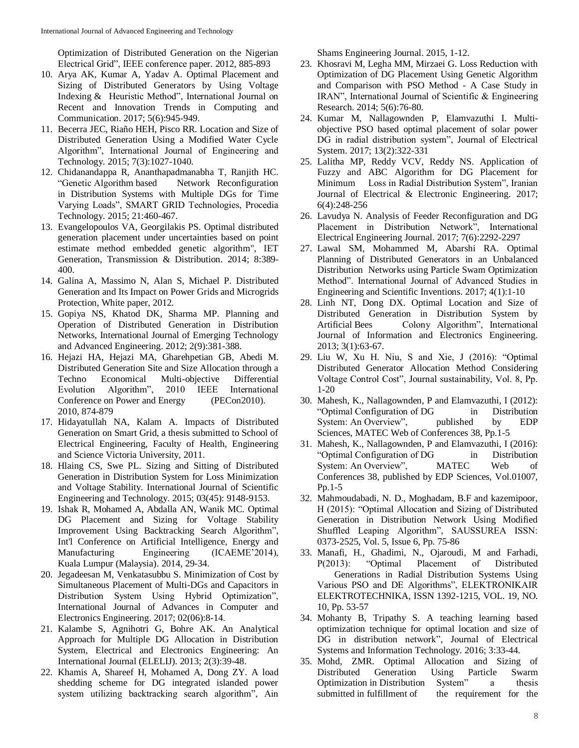Optimization of Distributed Generation on the Nigerian Electrical Grid", IEEE conference paper. 2012, 885-893

- 10. Arya AK, Kumar A, Yadav A. Optimal Placement and Sizing of Distributed Generators by Using Voltage Indexing & Heuristic Method", International Journal on Recent and Innovation Trends in Computing and Communication. 2017; 5(6):945-949.
- 11. Becerra JEC, Riaño HEH, Pisco RR. Location and Size of Distributed Generation Using a Modified Water Cycle Algorithm", International Journal of Engineering and Technology. 2015; 7(3):1027-1040.
- 12. Chidanandappa R, Ananthapadmanabha T, Ranjith HC. "Genetic Algorithm based Network Reconfiguration in Distribution Systems with Multiple DGs for Time Varying Loads", SMART GRID Technologies, Procedia Technology. 2015; 21:460-467.
- 13. Evangelopoulos VA, Georgilakis PS. Optimal distributed generation placement under uncertainties based on point estimate method embedded genetic algorithm", IET Generation, Transmission & Distribution. 2014; 8:389- 400.
- 14. Galina A, Massimo N, Alan S, Michael P. Distributed Generation and Its Impact on Power Grids and Microgrids Protection, White paper, 2012.
- 15. Gopiya NS, Khatod DK, Sharma MP. Planning and Operation of Distributed Generation in Distribution Networks, International Journal of Emerging Technology and Advanced Engineering. 2012; 2(9):381-388.
- 16. Hejazi HA, Hejazi MA, Gharehpetian GB, Abedi M. Distributed Generation Site and Size Allocation through a Techno Economical Multi-objective Differential Evolution Algorithm", 2010 IEEE International Conference on Power and Energy (PECon2010). 2010, 874-879
- 17. Hidayatullah NA, Kalam A. Impacts of Distributed Generation on Smart Grid, a thesis submitted to School of Electrical Engineering, Faculty of Health, Engineering and Science Victoria University, 2011.
- 18. Hlaing CS, Swe PL. Sizing and Sitting of Distributed Generation in Distribution System for Loss Minimization and Voltage Stability. International Journal of Scientific Engineering and Technology. 2015; 03(45): 9148-9153.
- 19. Ishak R, Mohamed A, Abdalla AN, Wanik MC. Optimal DG Placement and Sizing for Voltage Stability Improvement Using Backtracking Search Algorithm", Int'l Conference on Artificial Intelligence, Energy and Manufacturing Engineering (ICAEME'2014), Kuala Lumpur (Malaysia). 2014, 29-34.
- 20. Jegadeesan M, Venkatasubbu S. Minimization of Cost by Simultaneous Placement of Multi-DGs and Capacitors in Distribution System Using Hybrid Optimization", International Journal of Advances in Computer and Electronics Engineering. 2017; 02(06):8-14.
- 21. Kalambe S, Agnihotri G, Bohre AK. An Analytical Approach for Multiple DG Allocation in Distribution System, Electrical and Electronics Engineering: An International Journal (ELELIJ). 2013; 2(3):39-48.
- 22. Khamis A, Shareef H, Mohamed A, Dong ZY. A load shedding scheme for DG integrated islanded power system utilizing backtracking search algorithm", Ain

Shams Engineering Journal. 2015, 1-12.

- 23. Khosravi M, Legha MM, Mirzaei G. Loss Reduction with Optimization of DG Placement Using Genetic Algorithm and Comparison with PSO Method - A Case Study in IRAN", International Journal of Scientific & Engineering Research. 2014; 5(6):76-80.
- 24. Kumar M, Nallagownden P, Elamvazuthi I. Multiobjective PSO based optimal placement of solar power DG in radial distribution system", Journal of Electrical System. 2017; 13(2):322-331
- 25. Lalitha MP, Reddy VCV, Reddy NS. Application of Fuzzy and ABC Algorithm for DG Placement for Minimum Loss in Radial Distribution System", Iranian Journal of Electrical & Electronic Engineering. 2017; 6(4):248-256
- 26. Lavudya N. Analysis of Feeder Reconfiguration and DG Placement in Distribution Network", International Electrical Engineering Journal. 2017; 7(6):2292-2297
- 27. Lawal SM, Mohammed M, Abarshi RA. Optimal Planning of Distributed Generators in an Unbalanced Distribution Networks using Particle Swam Optimization Method". International Journal of Advanced Studies in Engineering and Scientific Inventions. 2017; 4(1):1-10
- 28. Linh NT, Dong DX. Optimal Location and Size of Distributed Generation in Distribution System by Artificial Bees Colony Algorithm", International Journal of Information and Electronics Engineering. 2013; 3(1):63-67.
- 29. Liu W, Xu H. Niu, S and Xie, J (2016): "Optimal Distributed Generator Allocation Method Considering Voltage Control Cost", Journal sustainability, Vol. 8, Pp. 1-20
- 30. Mahesh, K., Nallagownden, P and Elamvazuthi, I (2012): "Optimal Configuration of DG in Distribution System: An Overview", published by EDP Sciences, MATEC Web of Conferences 38, Pp.1-5
- 31. Mahesh, K., Nallagownden, P and Elamvazuthi, I (2016): "Optimal Configuration of DG in Distribution System: An Overview", MATEC Web of Conferences 38, published by EDP Sciences, Vol.01007, Pp.1-5
- 32. Mahmoudabadi, N. D., Moghadam, B.F and kazemipoor, H (2015): "Optimal Allocation and Sizing of Distributed Generation in Distribution Network Using Modified Shuffled Leaping Algorithm", SAUSSUREA ISSN: 0373-2525, Vol. 5, Issue 6, Pp. 75-86
- 33. Manafi, H., Ghadimi, N., Ojaroudi, M and Farhadi, P(2013): "Optimal Placement of Distributed Generations in Radial Distribution Systems Using Various PSO and DE Algorithms", ELEKTRONIKAIR ELEKTROTECHNIKA, ISSN 1392-1215, VOL. 19, NO. 10, Pp. 53-57
- 34. Mohanty B, Tripathy S. A teaching learning based optimization technique for optimal location and size of DG in distribution network", Journal of Electrical Systems and Information Technology. 2016; 3:33-44.
- 35. Mohd, ZMR. Optimal Allocation and Sizing of Distributed Generation Using Particle Swarm Optimization in Distribution System" a thesis submitted in fulfillment of the requirement for the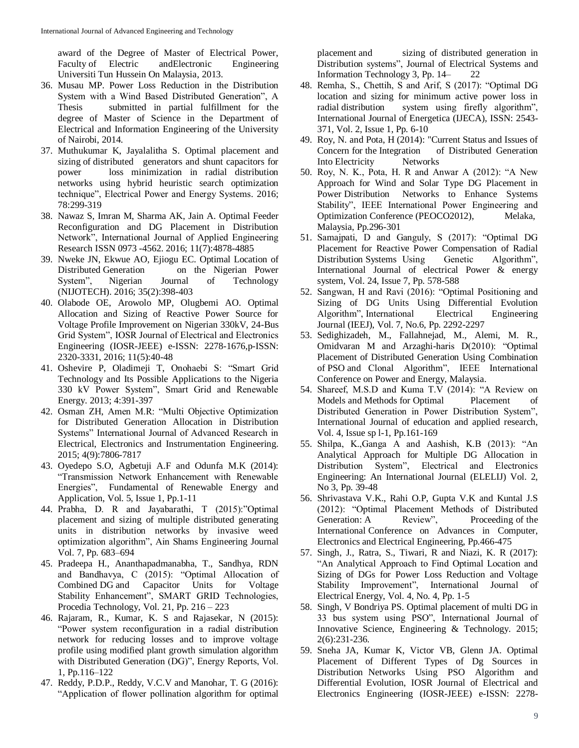award of the Degree of Master of Electrical Power, Faculty of Electric andElectronic Engineering Universiti Tun Hussein On Malaysia, 2013.

- 36. Musau MP. Power Loss Reduction in the Distribution System with a Wind Based Distributed Generation", A Thesis submitted in partial fulfillment for the degree of Master of Science in the Department of Electrical and Information Engineering of the University of Nairobi, 2014.
- 37. Muthukumar K, Jayalalitha S. Optimal placement and sizing of distributed generators and shunt capacitors for power loss minimization in radial distribution networks using hybrid heuristic search optimization technique", Electrical Power and Energy Systems. 2016; 78:299-319
- 38. Nawaz S, Imran M, Sharma AK, Jain A. Optimal Feeder Reconfiguration and DG Placement in Distribution Network", International Journal of Applied Engineering Research ISSN 0973 -4562. 2016; 11(7):4878-4885
- 39. Nweke JN, Ekwue AO, Ejiogu EC. Optimal Location of Distributed Generation on the Nigerian Power System", Nigerian Journal of Technology (NIJOTECH). 2016; 35(2):398-403
- 40. Olabode OE, Arowolo MP, Olugbemi AO. Optimal Allocation and Sizing of Reactive Power Source for Voltage Profile Improvement on Nigerian 330kV, 24-Bus Grid System", IOSR Journal of Electrical and Electronics Engineering (IOSR-JEEE) e-ISSN: 2278-1676,p-ISSN: 2320-3331, 2016; 11(5):40-48
- 41. Oshevire P, Oladimeji T, Onohaebi S: "Smart Grid Technology and Its Possible Applications to the Nigeria 330 kV Power System", Smart Grid and Renewable Energy. 2013; 4:391-397
- 42. Osman ZH, Amen M.R: "Multi Objective Optimization for Distributed Generation Allocation in Distribution Systems" International Journal of Advanced Research in Electrical, Electronics and Instrumentation Engineering. 2015; 4(9):7806-7817
- 43. Oyedepo S.O, Agbetuji A.F and Odunfa M.K (2014): "Transmission Network Enhancement with Renewable Energies", Fundamental of Renewable Energy and Application, Vol. 5, Issue 1, Pp.1-11
- 44. Prabha, D. R and Jayabarathi, T (2015):"Optimal placement and sizing of multiple distributed generating units in distribution networks by invasive weed optimization algorithm", Ain Shams Engineering Journal Vol. 7, Pp. 683–694
- 45. Pradeepa H., Ananthapadmanabha, T., Sandhya, RDN and Bandhavya, C (2015): "Optimal Allocation of Combined DG and Capacitor Units for Voltage Stability Enhancement", SMART GRID Technologies, Procedia Technology, Vol. 21, Pp. 216 – 223
- 46. Rajaram, R., Kumar, K. S and Rajasekar, N (2015): "Power system reconfiguration in a radial distribution network for reducing losses and to improve voltage profile using modified plant growth simulation algorithm with Distributed Generation (DG)", Energy Reports, Vol. 1, Pp.116–122
- 47. Reddy, P.D.P., Reddy, V.C.V and Manohar, T. G (2016): "Application of flower pollination algorithm for optimal

placement and sizing of distributed generation in Distribution systems", Journal of Electrical Systems and Information Technology 3, Pp. 14– 22

- 48. Remha, S., Chettih, S and Arif, S (2017): "Optimal DG location and sizing for minimum active power loss in radial distribution system using firefly algorithm", International Journal of Energetica (IJECA), ISSN: 2543- 371, Vol. 2, Issue 1, Pp. 6-10
- 49. Roy, N. and Pota, H (2014): "Current Status and Issues of Concern for the Integration of Distributed Generation Into Electricity Networks
- 50. Roy, N. K., Pota, H. R and Anwar A (2012): "A New Approach for Wind and Solar Type DG Placement in Power Distribution Networks to Enhance Systems Stability", IEEE International Power Engineering and Optimization Conference (PEOCO2012), Melaka, Malaysia, Pp.296-301
- 51. Samajpati, D and Ganguly, S (2017): "Optimal DG Placement for Reactive Power Compensation of Radial Distribution Systems Using Genetic Algorithm", International Journal of electrical Power & energy system, Vol. 24, Issue 7, Pp. 578-588
- 52. Sangwan, H and Ravi (2016): "Optimal Positioning and Sizing of DG Units Using Differential Evolution Algorithm", International Electrical Engineering Journal (IEEJ), Vol. 7, No.6, Pp. 2292-2297
- 53. Sedighizadeh, M., Fallahnejad, M., Alemi, M. R., Omidvaran M and Arzaghi-haris D(2010): "Optimal Placement of Distributed Generation Using Combination of PSO and Clonal Algorithm", IEEE International Conference on Power and Energy, Malaysia.
- 54. Shareef, M.S.D and Kuma T.V (2014): "A Review on Models and Methods for Optimal Placement of Distributed Generation in Power Distribution System", International Journal of education and applied research, Vol. 4, Issue sp l-1, Pp.161-169
- 55. Shilpa, K.,Ganga A and Aashish, K.B (2013): "An Analytical Approach for Multiple DG Allocation in Distribution System", Electrical and Electronics Engineering: An International Journal (ELELIJ) Vol. 2, No 3, Pp. 39-48
- 56. Shrivastava V.K., Rahi O.P, Gupta V.K and Kuntal J.S (2012): "Optimal Placement Methods of Distributed Generation: A Review", Proceeding of the International Conference on Advances in Computer, Electronics and Electrical Engineering, Pp.466-475
- 57. Singh, J., Ratra, S., Tiwari, R and Niazi, K. R (2017): "An Analytical Approach to Find Optimal Location and Sizing of DGs for Power Loss Reduction and Voltage Stability Improvement", International Journal of Electrical Energy, Vol. 4, No. 4, Pp. 1-5
- 58. Singh, V Bondriya PS. Optimal placement of multi DG in 33 bus system using PSO", International Journal of Innovative Science, Engineering & Technology. 2015; 2(6):231-236.
- 59. Sneha JA, Kumar K, Victor VB, Glenn JA. Optimal Placement of Different Types of Dg Sources in Distribution Networks Using PSO Algorithm and Differential Evolution, IOSR Journal of Electrical and Electronics Engineering (IOSR-JEEE) e-ISSN: 2278-